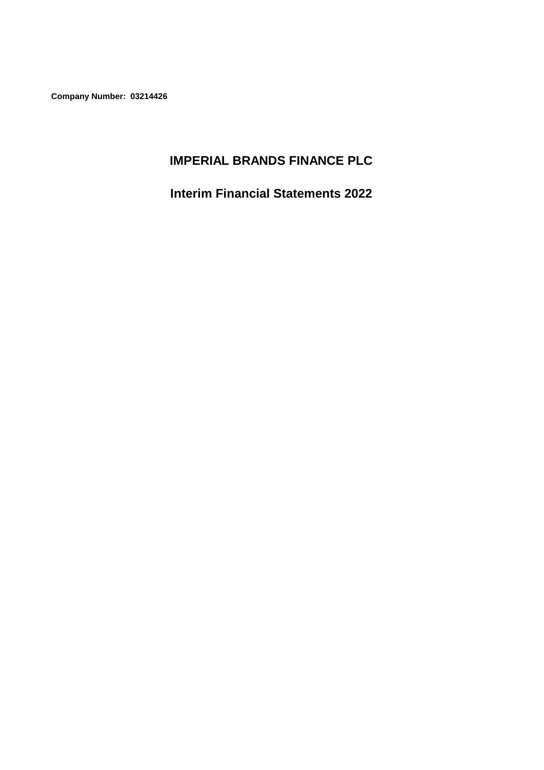**Company Number: 03214426**

# **IMPERIAL BRANDS FINANCE PLC**

**Interim Financial Statements 2022**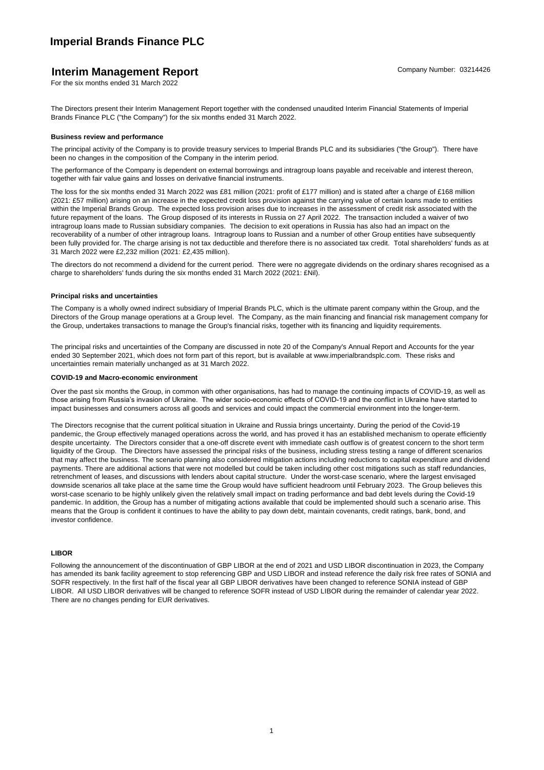# **Interim Management Report** Company Number: 03214426

The Directors present their Interim Management Report together with the condensed unaudited Interim Financial Statements of Imperial Brands Finance PLC ("the Company") for the six months ended 31 March 2022.

#### **Business review and performance**

The principal activity of the Company is to provide treasury services to Imperial Brands PLC and its subsidiaries ("the Group"). There have been no changes in the composition of the Company in the interim period.

The performance of the Company is dependent on external borrowings and intragroup loans payable and receivable and interest thereon, together with fair value gains and losses on derivative financial instruments.

The loss for the six months ended 31 March 2022 was £81 million (2021: profit of £177 million) and is stated after a charge of £168 million (2021: £57 million) arising on an increase in the expected credit loss provision against the carrying value of certain loans made to entities within the Imperial Brands Group. The expected loss provision arises due to increases in the assessment of credit risk associated with the future repayment of the loans. The Group disposed of its interests in Russia on 27 April 2022. The transaction included a waiver of two intragroup loans made to Russian subsidiary companies. The decision to exit operations in Russia has also had an impact on the recoverability of a number of other intragroup loans. Intragroup loans to Russian and a number of other Group entities have subsequently been fully provided for. The charge arising is not tax deductible and therefore there is no associated tax credit. Total shareholders' funds as at 31 March 2022 were £2,232 million (2021: £2,435 million).

The directors do not recommend a dividend for the current period. There were no aggregate dividends on the ordinary shares recognised as a charge to shareholders' funds during the six months ended 31 March 2022 (2021: £Nil).

### **Principal risks and uncertainties**

The Company is a wholly owned indirect subsidiary of Imperial Brands PLC, which is the ultimate parent company within the Group, and the Directors of the Group manage operations at a Group level. The Company, as the main financing and financial risk management company for the Group, undertakes transactions to manage the Group's financial risks, together with its financing and liquidity requirements.

The principal risks and uncertainties of the Company are discussed in note 20 of the Company's Annual Report and Accounts for the year ended 30 September 2021, which does not form part of this report, but is available at www.imperialbrandsplc.com. These risks and uncertainties remain materially unchanged as at 31 March 2022.

## **COVID-19 and Macro-economic environment**

Over the past six months the Group, in common with other organisations, has had to manage the continuing impacts of COVID-19, as well as those arising from Russia's invasion of Ukraine. The wider socio-economic effects of COVID-19 and the conflict in Ukraine have started to impact businesses and consumers across all goods and services and could impact the commercial environment into the longer-term.

The Directors recognise that the current political situation in Ukraine and Russia brings uncertainty. During the period of the Covid-19 pandemic, the Group effectively managed operations across the world, and has proved it has an established mechanism to operate efficiently despite uncertainty. The Directors consider that a one-off discrete event with immediate cash outflow is of greatest concern to the short term liquidity of the Group. The Directors have assessed the principal risks of the business, including stress testing a range of different scenarios that may affect the business. The scenario planning also considered mitigation actions including reductions to capital expenditure and dividend payments. There are additional actions that were not modelled but could be taken including other cost mitigations such as staff redundancies, retrenchment of leases, and discussions with lenders about capital structure. Under the worst-case scenario, where the largest envisaged downside scenarios all take place at the same time the Group would have sufficient headroom until February 2023. The Group believes this worst-case scenario to be highly unlikely given the relatively small impact on trading performance and bad debt levels during the Covid-19 pandemic. In addition, the Group has a number of mitigating actions available that could be implemented should such a scenario arise. This means that the Group is confident it continues to have the ability to pay down debt, maintain covenants, credit ratings, bank, bond, and investor confidence.

#### **LIBOR**

Following the announcement of the discontinuation of GBP LIBOR at the end of 2021 and USD LIBOR discontinuation in 2023, the Company has amended its bank facility agreement to stop referencing GBP and USD LIBOR and instead reference the daily risk free rates of SONIA and SOFR respectively. In the first half of the fiscal year all GBP LIBOR derivatives have been changed to reference SONIA instead of GBP LIBOR. All USD LIBOR derivatives will be changed to reference SOFR instead of USD LIBOR during the remainder of calendar year 2022. There are no changes pending for EUR derivatives.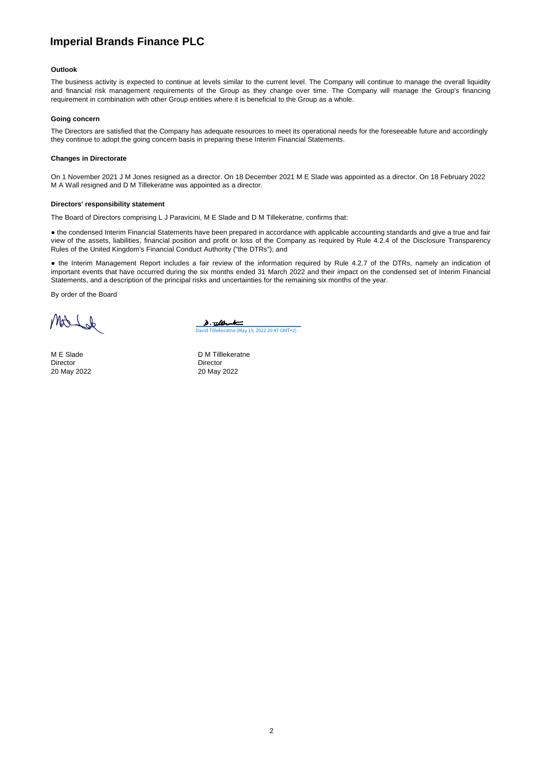### **Outlook**

The business activity is expected to continue at levels similar to the current level. The Company will continue to manage the overall liquidity and financial risk management requirements of the Group as they change over time. The Company will manage the Group's financing requirement in combination with other Group entities where it is beneficial to the Group as a whole.

#### **Going concern**

The Directors are satisfied that the Company has adequate resources to meet its operational needs for the foreseeable future and accordingly they continue to adopt the going concern basis in preparing these Interim Financial Statements.

#### **Changes in Directorate**

On 1 November 2021 J M Jones resigned as a director. On 18 December 2021 M E Slade was appointed as a director. On 18 February 2022 M A Wall resigned and D M Tillekeratne was appointed as a director.

#### **Directors' responsibility statement**

The Board of Directors comprising L J Paravicini, M E Slade and D M Tillekeratne, confirms that:

● the condensed Interim Financial Statements have been prepared in accordance with applicable accounting standards and give a true and fair view of the assets, liabilities, financial position and profit or loss of the Company as required by Rule 4.2.4 of the Disclosure Transparency Rules of the United Kingdom's Financial Conduct Authority ("the DTRs"); and

● the Interim Management Report includes a fair review of the information required by Rule 4.2.7 of the DTRs, namely an indication of important events that have occurred during the six months ended 31 March 2022 and their impact on the condensed set of Interim Financial Statements, and a description of the principal risks and uncertainties for the remaining six months of the year.

By order of the Board

Mold

Director Director 20 May 2022 20 May 2022

<u>3. albent</u> [David Tillekeratne \(May 19, 2022 20:47 GMT+2\)](https://imptob.eu1.adobesign.com/verifier?tx=CBJCHBCAABAAICP4C9zKXM_4Ctx7bjMpS29c9x58Pr6e)

M E Slade D M Tilllekeratne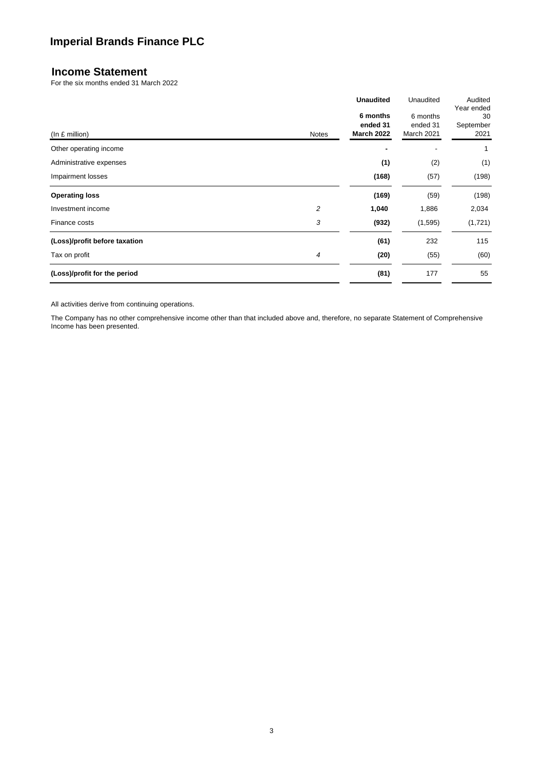## **Income Statement**

For the six months ended 31 March 2022

|                               |       | <b>Unaudited</b>                          | Unaudited                          | Audited<br>Year ended   |
|-------------------------------|-------|-------------------------------------------|------------------------------------|-------------------------|
|                               | Notes | 6 months<br>ended 31<br><b>March 2022</b> | 6 months<br>ended 31<br>March 2021 | 30<br>September<br>2021 |
| (In £ million)                |       |                                           |                                    |                         |
| Other operating income        |       |                                           |                                    | 1                       |
| Administrative expenses       |       | (1)                                       | (2)                                | (1)                     |
| Impairment losses             |       | (168)                                     | (57)                               | (198)                   |
| <b>Operating loss</b>         |       | (169)                                     | (59)                               | (198)                   |
| Investment income             | 2     | 1,040                                     | 1,886                              | 2,034                   |
| Finance costs                 | 3     | (932)                                     | (1, 595)                           | (1,721)                 |
| (Loss)/profit before taxation |       | (61)                                      | 232                                | 115                     |
| Tax on profit                 | 4     | (20)                                      | (55)                               | (60)                    |
| (Loss)/profit for the period  |       | (81)                                      | 177                                | 55                      |

All activities derive from continuing operations.

The Company has no other comprehensive income other than that included above and, therefore, no separate Statement of Comprehensive Income has been presented.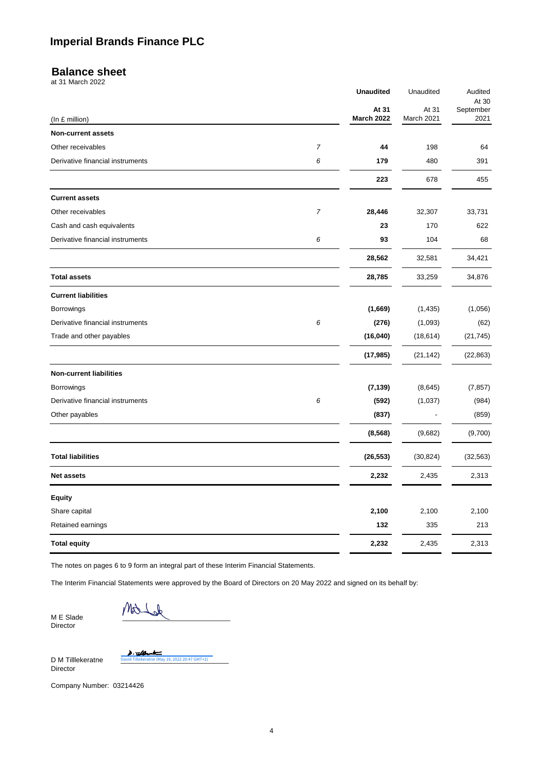## **Balance sheet**

at 31 March 2022

|                                  |                | <b>Unaudited</b>  | Unaudited      | Audited            |
|----------------------------------|----------------|-------------------|----------------|--------------------|
|                                  |                | At 31             | At 31          | At 30<br>September |
| (In £ million)                   |                | <b>March 2022</b> | March 2021     | 2021               |
| <b>Non-current assets</b>        |                |                   |                |                    |
| Other receivables                | $\overline{7}$ | 44                | 198            | 64                 |
| Derivative financial instruments | 6              | 179               | 480            | 391                |
|                                  |                | 223               | 678            | 455                |
| <b>Current assets</b>            |                |                   |                |                    |
| Other receivables                | $\overline{7}$ | 28,446            | 32,307         | 33,731             |
| Cash and cash equivalents        |                | 23                | 170            | 622                |
| Derivative financial instruments | 6              | 93                | 104            | 68                 |
|                                  |                | 28,562            | 32,581         | 34,421             |
| <b>Total assets</b>              |                | 28,785            | 33,259         | 34,876             |
| <b>Current liabilities</b>       |                |                   |                |                    |
| Borrowings                       |                | (1,669)           | (1, 435)       | (1,056)            |
| Derivative financial instruments | 6              | (276)             | (1,093)        | (62)               |
| Trade and other payables         |                | (16, 040)         | (18, 614)      | (21, 745)          |
|                                  |                | (17, 985)         | (21, 142)      | (22, 863)          |
| <b>Non-current liabilities</b>   |                |                   |                |                    |
| Borrowings                       |                | (7, 139)          | (8,645)        | (7, 857)           |
| Derivative financial instruments | 6              | (592)             | (1,037)        | (984)              |
| Other payables                   |                | (837)             | $\blacksquare$ | (859)              |
|                                  |                | (8, 568)          | (9,682)        | (9,700)            |
| <b>Total liabilities</b>         |                | (26, 553)         | (30, 824)      | (32, 563)          |
| <b>Net assets</b>                |                | 2,232             | 2,435          | 2,313              |
| <b>Equity</b>                    |                |                   |                |                    |
| Share capital                    |                | 2,100             | 2,100          | 2,100              |
| Retained earnings                |                | 132               | 335            | 213                |
| <b>Total equity</b>              |                | 2,232             | 2,435          | 2,313              |

The notes on pages 6 to 9 form an integral part of these Interim Financial Statements.

The Interim Financial Statements were approved by the Board of Directors on 20 May 2022 and signed on its behalf by:

M E Slade Director

MA  $\mathbb{V}$ 

D M Tilllekeratne Director

 $-\omega$ <u>t</u>

y 19, 2022 20:47 GMT+2)

Company Number: 03214426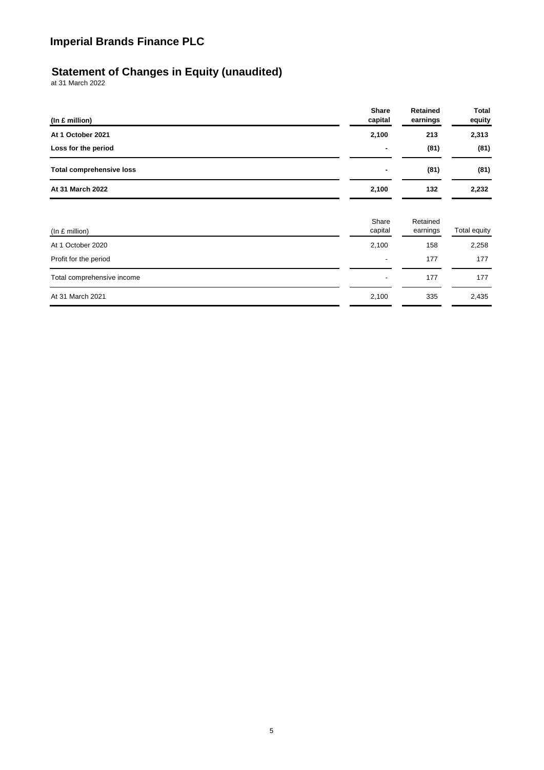## **Statement of Changes in Equity (unaudited)**

at 31 March 2022

| (In £ million)                  | <b>Share</b><br>capital  | Retained<br>earnings | Total<br>equity |
|---------------------------------|--------------------------|----------------------|-----------------|
| At 1 October 2021               | 2,100                    | 213                  | 2,313           |
| Loss for the period             |                          | (81)                 | (81)            |
| <b>Total comprehensive loss</b> | ٠                        | (81)                 | (81)            |
| At 31 March 2022                | 2,100                    | 132                  | 2,232           |
| (In f. million)                 | Share<br>capital         | Retained<br>earnings | Total equity    |
| At 1 October 2020               | 2,100                    | 158                  | 2,258           |
| Profit for the period           | $\overline{\phantom{a}}$ | 177                  | 177             |
| Total comprehensive income      | ٠                        | 177                  | 177             |
| At 31 March 2021                | 2,100                    | 335                  | 2,435           |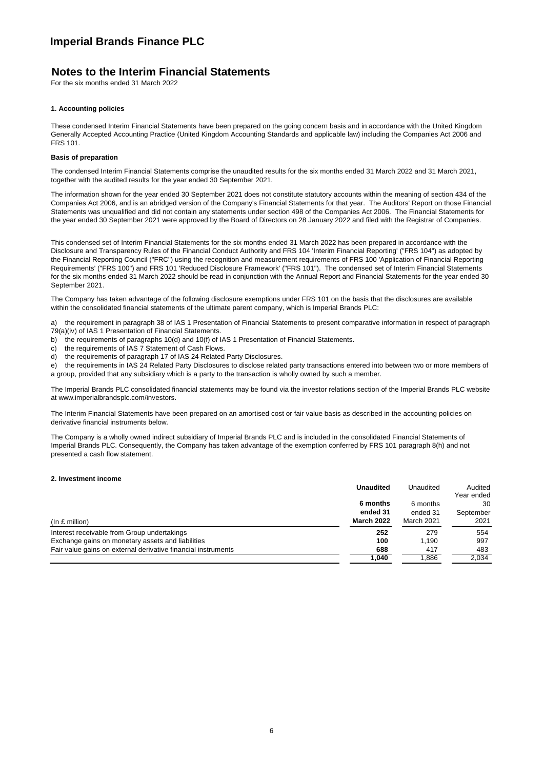## **Notes to the Interim Financial Statements**

For the six months ended 31 March 2022

## **1. Accounting policies**

These condensed Interim Financial Statements have been prepared on the going concern basis and in accordance with the United Kingdom Generally Accepted Accounting Practice (United Kingdom Accounting Standards and applicable law) including the Companies Act 2006 and FRS 101.

## **Basis of preparation**

The condensed Interim Financial Statements comprise the unaudited results for the six months ended 31 March 2022 and 31 March 2021, together with the audited results for the year ended 30 September 2021.

The information shown for the year ended 30 September 2021 does not constitute statutory accounts within the meaning of section 434 of the Companies Act 2006, and is an abridged version of the Company's Financial Statements for that year. The Auditors' Report on those Financial Statements was unqualified and did not contain any statements under section 498 of the Companies Act 2006. The Financial Statements for the year ended 30 September 2021 were approved by the Board of Directors on 28 January 2022 and filed with the Registrar of Companies.

This condensed set of Interim Financial Statements for the six months ended 31 March 2022 has been prepared in accordance with the Disclosure and Transparency Rules of the Financial Conduct Authority and FRS 104 'Interim Financial Reporting' ("FRS 104") as adopted by the Financial Reporting Council ("FRC") using the recognition and measurement requirements of FRS 100 'Application of Financial Reporting Requirements' ("FRS 100") and FRS 101 'Reduced Disclosure Framework' ("FRS 101"). The condensed set of Interim Financial Statements for the six months ended 31 March 2022 should be read in conjunction with the Annual Report and Financial Statements for the year ended 30 September 2021.

The Company has taken advantage of the following disclosure exemptions under FRS 101 on the basis that the disclosures are available within the consolidated financial statements of the ultimate parent company, which is Imperial Brands PLC:

a) the requirement in paragraph 38 of IAS 1 Presentation of Financial Statements to present comparative information in respect of paragraph 79(a)(iv) of IAS 1 Presentation of Financial Statements.

- b) the requirements of paragraphs 10(d) and 10(f) of IAS 1 Presentation of Financial Statements.
- c) the requirements of IAS 7 Statement of Cash Flows.
- d) the requirements of paragraph 17 of IAS 24 Related Party Disclosures.

e) the requirements in IAS 24 Related Party Disclosures to disclose related party transactions entered into between two or more members of a group, provided that any subsidiary which is a party to the transaction is wholly owned by such a member.

The Imperial Brands PLC consolidated financial statements may be found via the investor relations section of the Imperial Brands PLC website at www.imperialbrandsplc.com/investors.

The Interim Financial Statements have been prepared on an amortised cost or fair value basis as described in the accounting policies on derivative financial instruments below.

The Company is a wholly owned indirect subsidiary of Imperial Brands PLC and is included in the consolidated Financial Statements of Imperial Brands PLC. Consequently, the Company has taken advantage of the exemption conferred by FRS 101 paragraph 8(h) and not presented a cash flow statement.

## **2. Investment income**

|                                                               | <b>Unaudited</b>  | Unaudited  | Audited<br>Year ended |
|---------------------------------------------------------------|-------------------|------------|-----------------------|
|                                                               | 6 months          | 6 months   | 30                    |
|                                                               | ended 31          | ended 31   | September             |
| $(ln £$ million)                                              | <b>March 2022</b> | March 2021 | 2021                  |
| Interest receivable from Group undertakings                   | 252               | 279        | 554                   |
| Exchange gains on monetary assets and liabilities             | 100               | 1.190      | 997                   |
| Fair value gains on external derivative financial instruments | 688               | 417        | 483                   |
|                                                               | 1.040             | 1.886      | 2.034                 |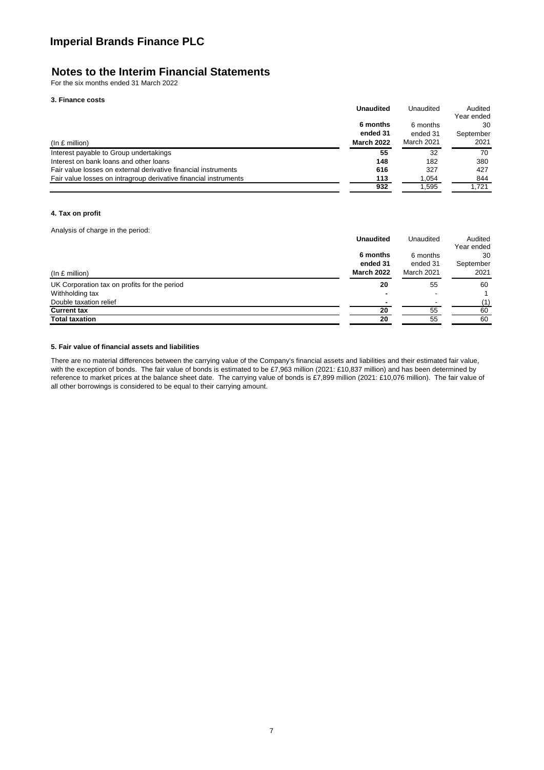# **Notes to the Interim Financial Statements**

For the six months ended 31 March 2022

## **3. Finance costs**

|                                                                  | <b>Unaudited</b>  | Unaudited  | Audited<br>Year ended |
|------------------------------------------------------------------|-------------------|------------|-----------------------|
|                                                                  | 6 months          | 6 months   | 30                    |
|                                                                  | ended 31          | ended 31   | September             |
| $(ln £$ million)                                                 | <b>March 2022</b> | March 2021 | 2021                  |
| Interest payable to Group undertakings                           | 55                | 32         | 70                    |
| Interest on bank loans and other loans                           | 148               | 182        | 380                   |
| Fair value losses on external derivative financial instruments   | 616               | 327        | 427                   |
| Fair value losses on intragroup derivative financial instruments | 113               | 1.054      | 844                   |
|                                                                  | 932               | 1.595      | 1.721                 |

## **4. Tax on profit**

Analysis of charge in the period:

|                                              | <b>Unaudited</b>  | Unaudited  | Audited    |
|----------------------------------------------|-------------------|------------|------------|
|                                              |                   |            | Year ended |
|                                              | 6 months          | 6 months   | 30         |
|                                              | ended 31          | ended 31   | September  |
| $(ln £$ million)                             | <b>March 2022</b> | March 2021 | 2021       |
| UK Corporation tax on profits for the period | 20                | 55         | 60         |
| Withholding tax                              |                   |            |            |
| Double taxation relief                       |                   | $\,$       | (1)        |
| <b>Current tax</b>                           | 20                | 55         | 60         |
| <b>Total taxation</b>                        | 20                | 55         | 60         |

## **5. Fair value of financial assets and liabilities**

There are no material differences between the carrying value of the Company's financial assets and liabilities and their estimated fair value, with the exception of bonds. The fair value of bonds is estimated to be £7,963 million (2021: £10,837 million) and has been determined by reference to market prices at the balance sheet date. The carrying value of bonds is £7,899 million (2021: £10,076 million). The fair value of all other borrowings is considered to be equal to their carrying amount.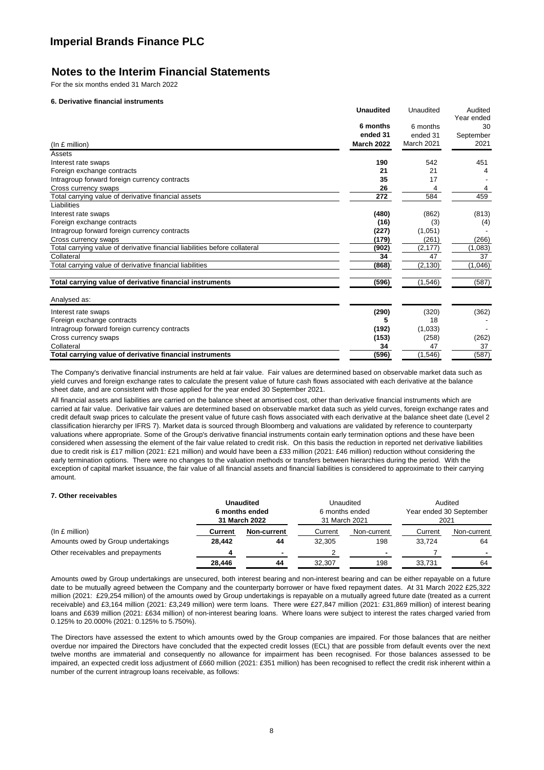## **Notes to the Interim Financial Statements**

For the six months ended 31 March 2022

## **6. Derivative financial instruments**

|                                                                            | <b>Unaudited</b>  | Unaudited  | Audited    |
|----------------------------------------------------------------------------|-------------------|------------|------------|
|                                                                            |                   |            | Year ended |
|                                                                            | 6 months          | 6 months   | 30         |
|                                                                            | ended 31          | ended 31   | September  |
| (In f. million)                                                            | <b>March 2022</b> | March 2021 | 2021       |
| Assets                                                                     |                   |            |            |
| Interest rate swaps                                                        | 190               | 542        | 451        |
| Foreign exchange contracts                                                 | 21                | 21         |            |
| Intragroup forward foreign currency contracts                              | 35                | 17         |            |
| Cross currency swaps                                                       | 26                | 4          |            |
| Total carrying value of derivative financial assets                        | 272               | 584        | 459        |
| Liabilities                                                                |                   |            |            |
| Interest rate swaps                                                        | (480)             | (862)      | (813)      |
| Foreign exchange contracts                                                 | (16)              | (3)        | (4)        |
| Intragroup forward foreign currency contracts                              | (227)             | (1,051)    |            |
| Cross currency swaps                                                       | (179)             | (261)      | (266)      |
| Total carrying value of derivative financial liabilities before collateral | (902)             | (2, 177)   | (1,083)    |
| Collateral                                                                 | 34                | 47         | 37         |
| Total carrying value of derivative financial liabilities                   | (868)             | (2, 130)   | (1,046)    |
| Total carrying value of derivative financial instruments                   | (596)             | (1, 546)   | (587)      |
| Analysed as:                                                               |                   |            |            |
| Interest rate swaps                                                        | (290)             | (320)      | (362)      |
| Foreign exchange contracts                                                 |                   | 18         |            |
| Intragroup forward foreign currency contracts                              | (192)             | (1,033)    |            |
| Cross currency swaps                                                       | (153)             | (258)      | (262)      |
| Collateral                                                                 | 34                | 47         | 37         |
| Total carrying value of derivative financial instruments                   | (596)             | (1, 546)   | (587)      |

The Company's derivative financial instruments are held at fair value. Fair values are determined based on observable market data such as yield curves and foreign exchange rates to calculate the present value of future cash flows associated with each derivative at the balance sheet date, and are consistent with those applied for the year ended 30 September 2021.

All financial assets and liabilities are carried on the balance sheet at amortised cost, other than derivative financial instruments which are carried at fair value. Derivative fair values are determined based on observable market data such as yield curves, foreign exchange rates and credit default swap prices to calculate the present value of future cash flows associated with each derivative at the balance sheet date (Level 2 classification hierarchy per IFRS 7). Market data is sourced through Bloomberg and valuations are validated by reference to counterparty valuations where appropriate. Some of the Group's derivative financial instruments contain early termination options and these have been considered when assessing the element of the fair value related to credit risk. On this basis the reduction in reported net derivative liabilities due to credit risk is £17 million (2021: £21 million) and would have been a £33 million (2021: £46 million) reduction without considering the early termination options. There were no changes to the valuation methods or transfers between hierarchies during the period. With the exception of capital market issuance, the fair value of all financial assets and financial liabilities is considered to approximate to their carrying amount.

## **7. Other receivables**

|                                    | <b>Unaudited</b><br>6 months ended<br>31 March 2022 |                | <b>Unaudited</b><br>6 months ended<br>31 March 2021 |             | Audited<br>Year ended 30 September<br>2021 |             |
|------------------------------------|-----------------------------------------------------|----------------|-----------------------------------------------------|-------------|--------------------------------------------|-------------|
| (In f. million)                    | Current                                             | Non-current    | Current                                             | Non-current | Current                                    | Non-current |
| Amounts owed by Group undertakings | 28.442                                              | 44             | 32.305                                              | 198         | 33.724                                     | 64          |
| Other receivables and prepayments  | 4                                                   | $\blacksquare$ |                                                     |             |                                            |             |
|                                    | 28.446                                              | 44             | 32.307                                              | 198         | 33.731                                     | 64          |

Amounts owed by Group undertakings are unsecured, both interest bearing and non-interest bearing and can be either repayable on a future date to be mutually agreed between the Company and the counterparty borrower or have fixed repayment dates. At 31 March 2022 £25,322 million (2021: £29,254 million) of the amounts owed by Group undertakings is repayable on a mutually agreed future date (treated as a current receivable) and £3,164 million (2021: £3,249 million) were term loans. There were £27,847 million (2021: £31,869 million) of interest bearing loans and £639 million (2021: £634 million) of non-interest bearing loans. Where loans were subject to interest the rates charged varied from 0.125% to 20.000% (2021: 0.125% to 5.750%).

The Directors have assessed the extent to which amounts owed by the Group companies are impaired. For those balances that are neither overdue nor impaired the Directors have concluded that the expected credit losses (ECL) that are possible from default events over the next twelve months are immaterial and consequently no allowance for impairment has been recognised. For those balances assessed to be impaired, an expected credit loss adjustment of £660 million (2021: £351 million) has been recognised to reflect the credit risk inherent within a number of the current intragroup loans receivable, as follows: